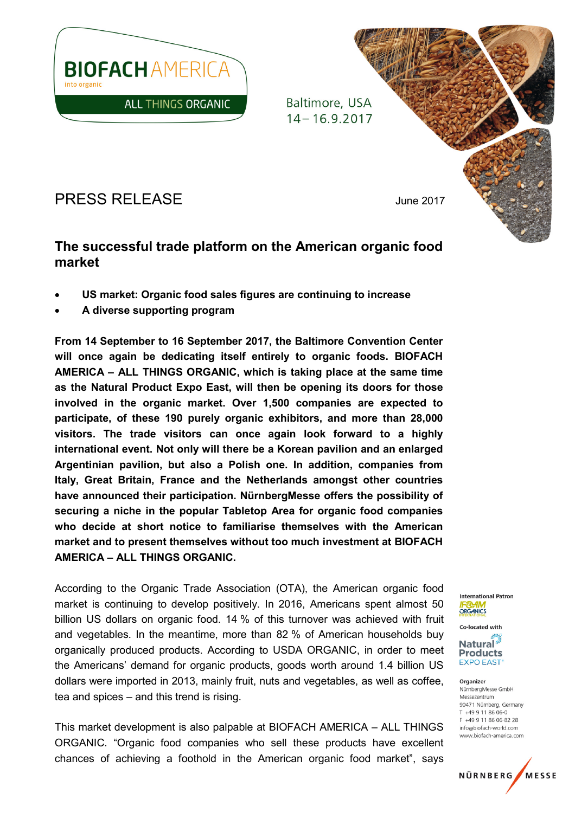

Baltimore, USA  $14 - 16.9.2017$ 



# The successful trade platform on the American organic food market

- US market: Organic food sales figures are continuing to increase
- A diverse supporting program

From 14 September to 16 September 2017, the Baltimore Convention Center will once again be dedicating itself entirely to organic foods. BIOFACH AMERICA – ALL THINGS ORGANIC, which is taking place at the same time as the Natural Product Expo East, will then be opening its doors for those involved in the organic market. Over 1,500 companies are expected to participate, of these 190 purely organic exhibitors, and more than 28,000 visitors. The trade visitors can once again look forward to a highly international event. Not only will there be a Korean pavilion and an enlarged Argentinian pavilion, but also a Polish one. In addition, companies from Italy, Great Britain, France and the Netherlands amongst other countries have announced their participation. NürnbergMesse offers the possibility of securing a niche in the popular Tabletop Area for organic food companies who decide at short notice to familiarise themselves with the American market and to present themselves without too much investment at BIOFACH AMERICA – ALL THINGS ORGANIC.

According to the Organic Trade Association (OTA), the American organic food market is continuing to develop positively. In 2016, Americans spent almost 50 billion US dollars on organic food. 14 % of this turnover was achieved with fruit and vegetables. In the meantime, more than 82 % of American households buy organically produced products. According to USDA ORGANIC, in order to meet the Americans' demand for organic products, goods worth around 1.4 billion US dollars were imported in 2013, mainly fruit, nuts and vegetables, as well as coffee, tea and spices – and this trend is rising.

This market development is also palpable at BIOFACH AMERICA – ALL THINGS ORGANIC. "Organic food companies who sell these products have excellent chances of achieving a foothold in the American organic food market", says

**International Patron** ORGANICS

Co-located with **Natural Products EXPO EAST** 

Organizer NürnbergMesse GmbH Messezentrum 90471 Nürnberg, Germany T +49 9 11 86 06-0 F +49 9 11 86 06-82 28 info@biofach-world.com www.biofach-america.com

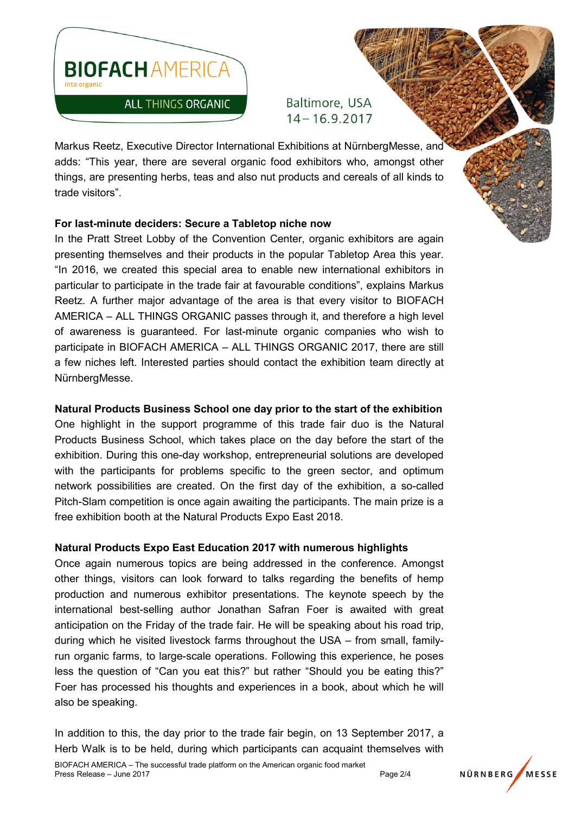

Baltimore, USA  $14 - 16.9.2017$ 

Markus Reetz, Executive Director International Exhibitions at NürnbergMesse, and adds: "This year, there are several organic food exhibitors who, amongst other things, are presenting herbs, teas and also nut products and cereals of all kinds to trade visitors".

# For last-minute deciders: Secure a Tabletop niche now

In the Pratt Street Lobby of the Convention Center, organic exhibitors are again presenting themselves and their products in the popular Tabletop Area this year. "In 2016, we created this special area to enable new international exhibitors in particular to participate in the trade fair at favourable conditions", explains Markus Reetz. A further major advantage of the area is that every visitor to BIOFACH AMERICA – ALL THINGS ORGANIC passes through it, and therefore a high level of awareness is guaranteed. For last-minute organic companies who wish to participate in BIOFACH AMERICA – ALL THINGS ORGANIC 2017, there are still a few niches left. Interested parties should contact the exhibition team directly at NürnbergMesse.

# Natural Products Business School one day prior to the start of the exhibition

One highlight in the support programme of this trade fair duo is the Natural Products Business School, which takes place on the day before the start of the exhibition. During this one-day workshop, entrepreneurial solutions are developed with the participants for problems specific to the green sector, and optimum network possibilities are created. On the first day of the exhibition, a so-called Pitch-Slam competition is once again awaiting the participants. The main prize is a free exhibition booth at the Natural Products Expo East 2018.

# Natural Products Expo East Education 2017 with numerous highlights

Once again numerous topics are being addressed in the conference. Amongst other things, visitors can look forward to talks regarding the benefits of hemp production and numerous exhibitor presentations. The keynote speech by the international best-selling author Jonathan Safran Foer is awaited with great anticipation on the Friday of the trade fair. He will be speaking about his road trip, during which he visited livestock farms throughout the USA – from small, familyrun organic farms, to large-scale operations. Following this experience, he poses less the question of "Can you eat this?" but rather "Should you be eating this?" Foer has processed his thoughts and experiences in a book, about which he will also be speaking.

In addition to this, the day prior to the trade fair begin, on 13 September 2017, a Herb Walk is to be held, during which participants can acquaint themselves with

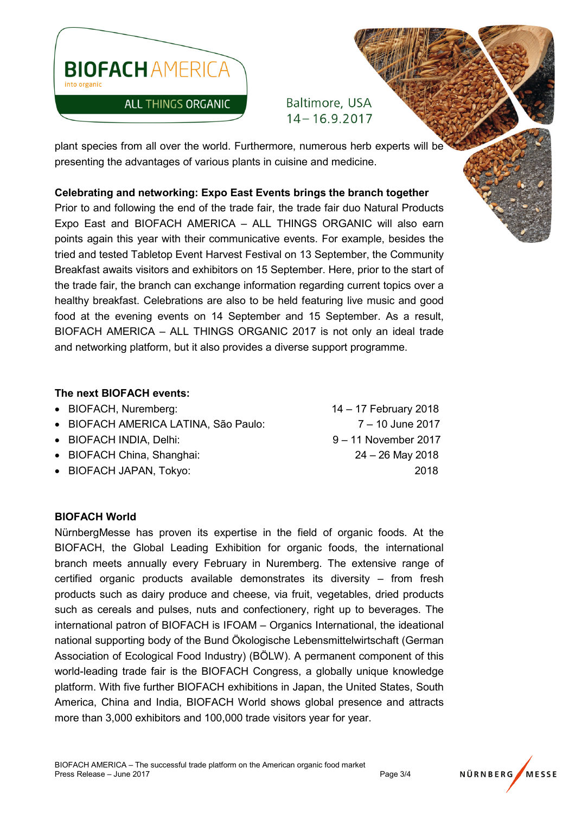

Baltimore, USA  $14 - 16.9.2017$ 

plant species from all over the world. Furthermore, numerous herb experts will be presenting the advantages of various plants in cuisine and medicine.

# Celebrating and networking: Expo East Events brings the branch together

Prior to and following the end of the trade fair, the trade fair duo Natural Products Expo East and BIOFACH AMERICA – ALL THINGS ORGANIC will also earn points again this year with their communicative events. For example, besides the tried and tested Tabletop Event Harvest Festival on 13 September, the Community Breakfast awaits visitors and exhibitors on 15 September. Here, prior to the start of the trade fair, the branch can exchange information regarding current topics over a healthy breakfast. Celebrations are also to be held featuring live music and good food at the evening events on 14 September and 15 September. As a result, BIOFACH AMERICA – ALL THINGS ORGANIC 2017 is not only an ideal trade and networking platform, but it also provides a diverse support programme.

## The next BIOFACH events:

- BIOFACH, Nuremberg: 14 17 February 2018
- BIOFACH AMERICA LATINA, São Paulo:  $7 10$  June 2017
- BIOFACH INDIA, Delhi:  $9 11$  November 2017
- BIOFACH China, Shanghai: 24 26 May 2018
- BIOFACH JAPAN, Tokyo: 2018

#### BIOFACH World

NürnbergMesse has proven its expertise in the field of organic foods. At the BIOFACH, the Global Leading Exhibition for organic foods, the international branch meets annually every February in Nuremberg. The extensive range of certified organic products available demonstrates its diversity – from fresh products such as dairy produce and cheese, via fruit, vegetables, dried products such as cereals and pulses, nuts and confectionery, right up to beverages. The international patron of BIOFACH is IFOAM – Organics International, the ideational national supporting body of the Bund Ökologische Lebensmittelwirtschaft (German Association of Ecological Food Industry) (BÖLW). A permanent component of this world-leading trade fair is the BIOFACH Congress, a globally unique knowledge platform. With five further BIOFACH exhibitions in Japan, the United States, South America, China and India, BIOFACH World shows global presence and attracts more than 3,000 exhibitors and 100,000 trade visitors year for year.